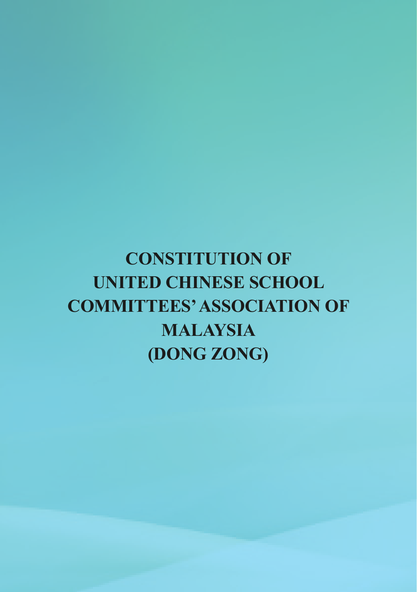# **CONSTITUTION OF UNITED CHINESE SCHOOL COMMITTEES' ASSOCIATION OF MALAYSIA (DONG ZONG)**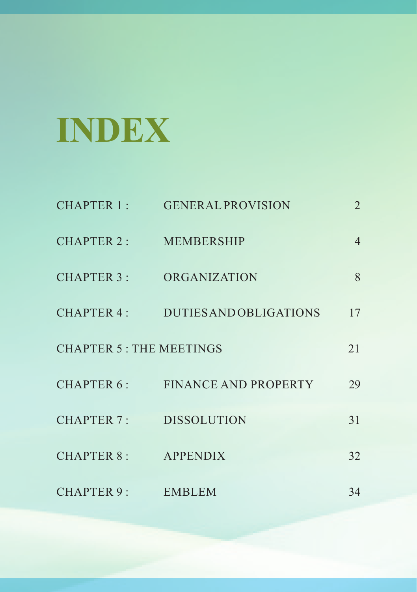# **INDEX**

| CHAPTER 1 :                    | <b>GENERAL PROVISION</b>      | 2              |
|--------------------------------|-------------------------------|----------------|
| CHAPTER 2:                     | <b>MEMBERSHIP</b>             | $\overline{4}$ |
| CHAPTER 3 :                    | <b>ORGANIZATION</b>           | 8              |
| CHAPTER 4 :                    | <b>DUTIES AND OBLIGATIONS</b> | 17             |
| <b>CHAPTER 5: THE MEETINGS</b> |                               | 21             |
| CHAPTER 6:                     | <b>FINANCE AND PROPERTY</b>   | 29             |
| CHAPTER 7 :                    | <b>DISSOLUTION</b>            | 31             |
| CHAPTER 8:                     | <b>APPENDIX</b>               | 32             |
| CHAPTER 9:                     | <b>EMBLEM</b>                 | 34             |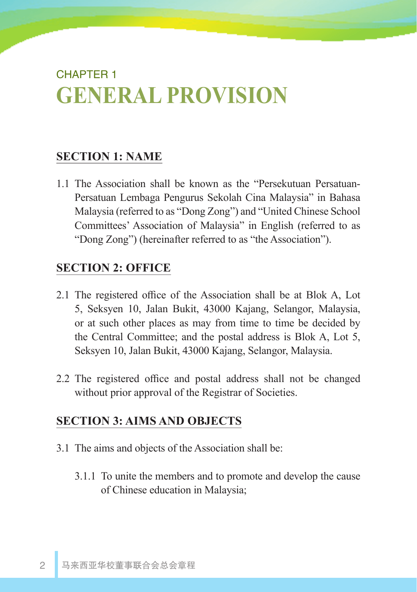# CHAPTER 1 **GENERAL PROVISION**

## **SECTION 1: NAME**

1.1 The Association shall be known as the "Persekutuan Persatuan-Persatuan Lembaga Pengurus Sekolah Cina Malaysia" in Bahasa Malaysia (referred to as "Dong Zong") and "United Chinese School Committees' Association of Malaysia" in English (referred to as "Dong Zong") (hereinafter referred to as "the Association").

## **SECTION 2: OFFICE**

- 2.1 The registered office of the Association shall be at Blok A, Lot 5, Seksyen 10, Jalan Bukit, 43000 Kajang, Selangor, Malaysia, or at such other places as may from time to time be decided by the Central Committee; and the postal address is Blok A, Lot 5, Seksyen 10, Jalan Bukit, 43000 Kajang, Selangor, Malaysia.
- 2.2 The registered office and postal address shall not be changed without prior approval of the Registrar of Societies.

#### **SECTION 3: AIMS AND OBJECTS**

- 3.1 The aims and objects of the Association shall be:
	- 3.1.1 To unite the members and to promote and develop the cause of Chinese education in Malaysia;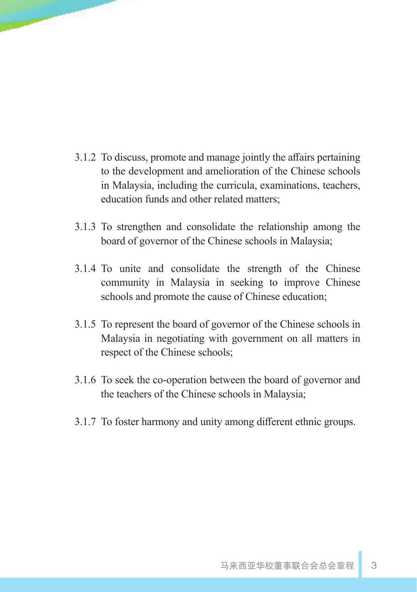- 3.1.2 To discuss, promote and manage jointly the affairs pertaining to the development and amelioration of the Chinese schools in Malaysia, including the curricula, examinations, teachers, education funds and other related matters;
- 3.1.3 To strengthen and consolidate the relationship among the board of governor of the Chinese schools in Malaysia;
- 3.1.4 To unite and consolidate the strength of the Chinese community in Malaysia in seeking to improve Chinese schools and promote the cause of Chinese education;
- 3.1.5 To represent the board of governor of the Chinese schools in Malaysia in negotiating with government on all matters in respect of the Chinese schools;
- 3.1.6 To seek the co-operation between the board of governor and the teachers of the Chinese schools in Malaysia;
- 3.1.7 To foster harmony and unity among different ethnic groups.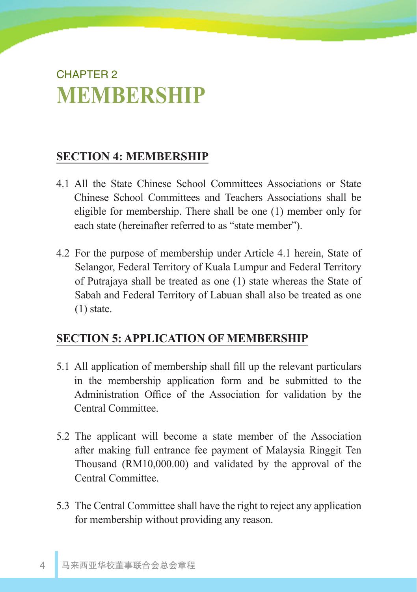# CHAPTER 2 **MEMBERSHIP**

## **SECTION 4: MEMBERSHIP**

- 4.1 All the State Chinese School Committees Associations or State Chinese School Committees and Teachers Associations shall be eligible for membership. There shall be one (1) member only for each state (hereinafter referred to as "state member").
- 4.2 For the purpose of membership under Article 4.1 herein, State of Selangor, Federal Territory of Kuala Lumpur and Federal Territory of Putrajaya shall be treated as one (1) state whereas the State of Sabah and Federal Territory of Labuan shall also be treated as one (1) state.

## **SECTION 5: APPLICATION OF MEMBERSHIP**

- 5.1 All application of membership shall fill up the relevant particulars in the membership application form and be submitted to the Administration Office of the Association for validation by the Central Committee.
- 5.2 The applicant will become a state member of the Association after making full entrance fee payment of Malaysia Ringgit Ten Thousand (RM10,000.00) and validated by the approval of the Central Committee.
- 5.3 The Central Committee shall have the right to reject any application for membership without providing any reason.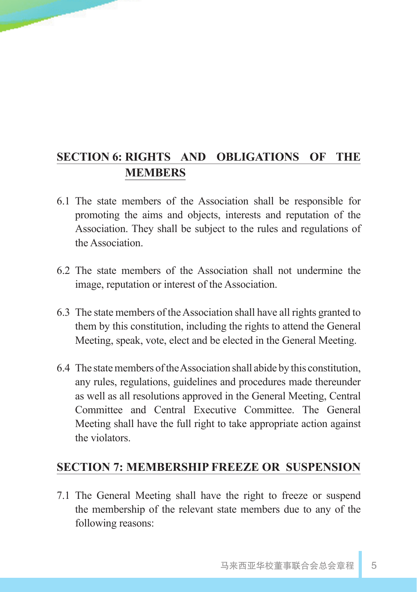## **SECTION 6: RIGHTS AND OBLIGATIONS OF THE MEMBERS**

- 6.1 The state members of the Association shall be responsible for promoting the aims and objects, interests and reputation of the Association. They shall be subject to the rules and regulations of the Association.
- 6.2 The state members of the Association shall not undermine the image, reputation or interest of the Association.
- 6.3 The state members of the Association shall have all rights granted to them by this constitution, including the rights to attend the General Meeting, speak, vote, elect and be elected in the General Meeting.
- 6.4 The state members of the Association shall abide by this constitution, any rules, regulations, guidelines and procedures made thereunder as well as all resolutions approved in the General Meeting, Central Committee and Central Executive Committee. The General Meeting shall have the full right to take appropriate action against the violators.

#### **SECTION 7: MEMBERSHIP FREEZE OR SUSPENSION**

7.1 The General Meeting shall have the right to freeze or suspend the membership of the relevant state members due to any of the following reasons: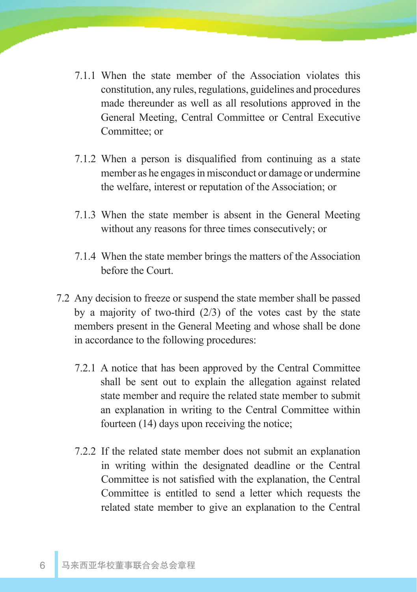- 7.1.1 When the state member of the Association violates this constitution, any rules, regulations, guidelines and procedures made thereunder as well as all resolutions approved in the General Meeting, Central Committee or Central Executive Committee; or
- 7.1.2 When a person is disqualified from continuing as a state member as he engages in misconduct or damage or undermine the welfare, interest or reputation of the Association; or
- 7.1.3 When the state member is absent in the General Meeting without any reasons for three times consecutively; or
- 7.1.4 When the state member brings the matters of the Association before the Court.
- 7.2 Any decision to freeze or suspend the state member shall be passed by a majority of two-third (2/3) of the votes cast by the state members present in the General Meeting and whose shall be done in accordance to the following procedures:
	- 7.2.1 A notice that has been approved by the Central Committee shall be sent out to explain the allegation against related state member and require the related state member to submit an explanation in writing to the Central Committee within fourteen (14) days upon receiving the notice;
	- 7.2.2 If the related state member does not submit an explanation in writing within the designated deadline or the Central Committee is not satisfied with the explanation, the Central Committee is entitled to send a letter which requests the related state member to give an explanation to the Central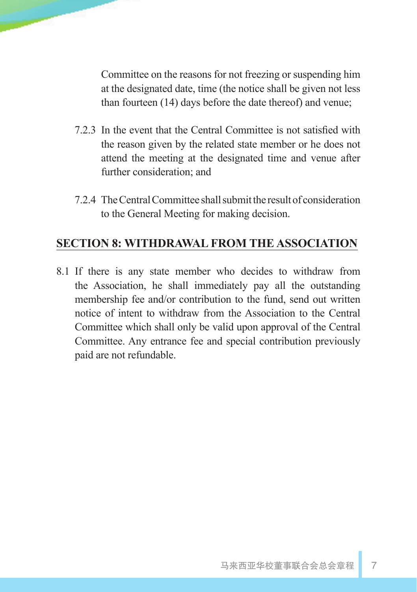Committee on the reasons for not freezing or suspending him at the designated date, time (the notice shall be given not less than fourteen (14) days before the date thereof) and venue;

- 7.2.3 In the event that the Central Committee is not satisfied with the reason given by the related state member or he does not attend the meeting at the designated time and venue after further consideration; and
- 7.2.4 The Central Committee shall submit the result of consideration to the General Meeting for making decision.

## **SECTION 8: WITHDRAWAL FROM THE ASSOCIATION**

8.1 If there is any state member who decides to withdraw from the Association, he shall immediately pay all the outstanding membership fee and/or contribution to the fund, send out written notice of intent to withdraw from the Association to the Central Committee which shall only be valid upon approval of the Central Committee. Any entrance fee and special contribution previously paid are not refundable.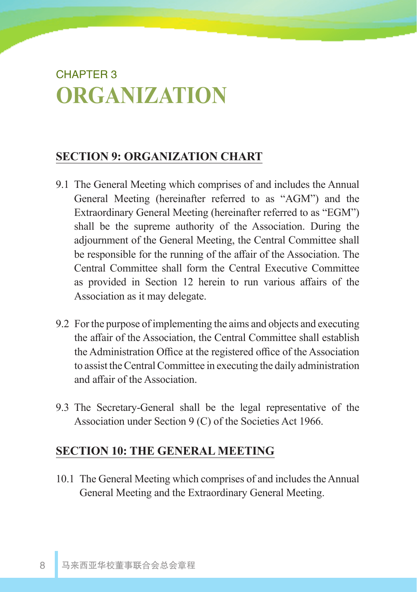# CHAPTER 3 **ORGANIZATION**

## **SECTION 9: ORGANIZATION CHART**

- 9.1 The General Meeting which comprises of and includes the Annual General Meeting (hereinafter referred to as "AGM") and the Extraordinary General Meeting (hereinafter referred to as "EGM") shall be the supreme authority of the Association. During the adjournment of the General Meeting, the Central Committee shall be responsible for the running of the affair of the Association. The Central Committee shall form the Central Executive Committee as provided in Section 12 herein to run various affairs of the Association as it may delegate.
- 9.2 For the purpose of implementing the aims and objects and executing the affair of the Association, the Central Committee shall establish the Administration Office at the registered office of the Association to assist the Central Committee in executing the daily administration and affair of the Association.
- 9.3 The Secretary-General shall be the legal representative of the Association under Section 9 (C) of the Societies Act 1966.

## **SECTION 10: THE GENERAL MEETING**

10.1 The General Meeting which comprises of and includes the Annual General Meeting and the Extraordinary General Meeting.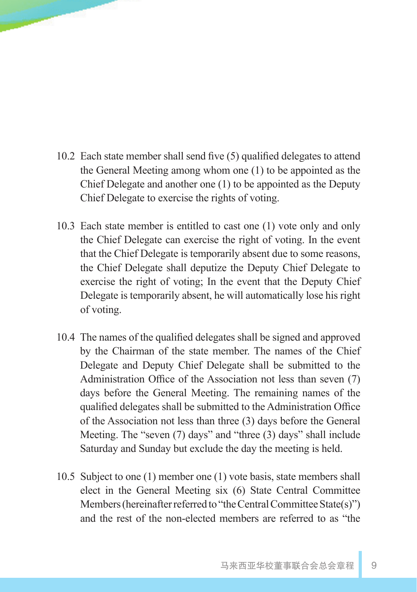- 10.2 Each state member shall send five (5) qualified delegates to attend the General Meeting among whom one (1) to be appointed as the Chief Delegate and another one (1) to be appointed as the Deputy Chief Delegate to exercise the rights of voting.
- 10.3 Each state member is entitled to cast one (1) vote only and only the Chief Delegate can exercise the right of voting. In the event that the Chief Delegate is temporarily absent due to some reasons, the Chief Delegate shall deputize the Deputy Chief Delegate to exercise the right of voting; In the event that the Deputy Chief Delegate is temporarily absent, he will automatically lose his right of voting.
- 10.4 The names of the qualified delegates shall be signed and approved by the Chairman of the state member. The names of the Chief Delegate and Deputy Chief Delegate shall be submitted to the Administration Office of the Association not less than seven (7) days before the General Meeting. The remaining names of the qualified delegates shall be submitted to the Administration Office of the Association not less than three (3) days before the General Meeting. The "seven (7) days" and "three (3) days" shall include Saturday and Sunday but exclude the day the meeting is held.
- 10.5 Subject to one (1) member one (1) vote basis, state members shall elect in the General Meeting six (6) State Central Committee Members (hereinafter referred to "the Central Committee State(s)") and the rest of the non-elected members are referred to as "the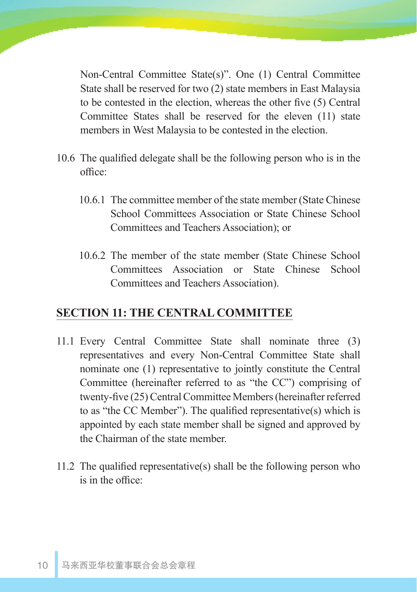Non-Central Committee State(s)". One (1) Central Committee State shall be reserved for two (2) state members in East Malaysia to be contested in the election, whereas the other five (5) Central Committee States shall be reserved for the eleven (11) state members in West Malaysia to be contested in the election.

- 10.6 The qualified delegate shall be the following person who is in the office:
	- 10.6.1 The committee member of the state member (State Chinese School Committees Association or State Chinese School Committees and Teachers Association); or
	- 10.6.2 The member of the state member (State Chinese School Committees Association or State Chinese School Committees and Teachers Association).

## **SECTION 11: THE CENTRAL COMMITTEE**

- 11.1 Every Central Committee State shall nominate three (3) representatives and every Non-Central Committee State shall nominate one (1) representative to jointly constitute the Central Committee (hereinafter referred to as "the CC") comprising of twenty-five (25) Central Committee Members (hereinafter referred to as "the CC Member"). The qualified representative(s) which is appointed by each state member shall be signed and approved by the Chairman of the state member.
- 11.2 The qualified representative(s) shall be the following person who is in the office: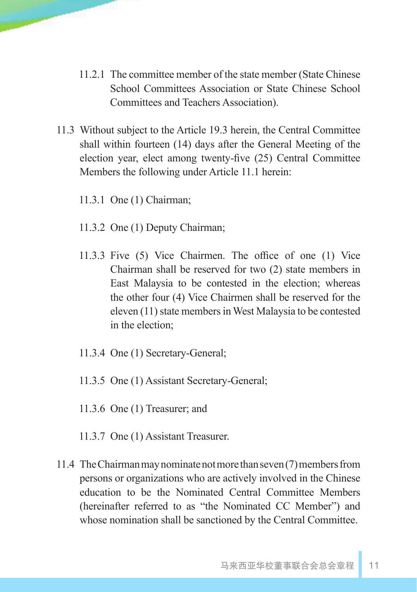- 11.2.1 The committee member of the state member (State Chinese School Committees Association or State Chinese School Committees and Teachers Association).
- 11.3 Without subject to the Article 19.3 herein, the Central Committee shall within fourteen (14) days after the General Meeting of the election year, elect among twenty-five (25) Central Committee Members the following under Article 11.1 herein:
	- 11.3.1 One (1) Chairman;
	- 11.3.2 One (1) Deputy Chairman;
	- 11.3.3 Five (5) Vice Chairmen. The office of one (1) Vice Chairman shall be reserved for two (2) state members in East Malaysia to be contested in the election; whereas the other four (4) Vice Chairmen shall be reserved for the eleven (11) state members in West Malaysia to be contested in the election;
	- 11.3.4 One (1) Secretary-General;
	- 11.3.5 One (1) Assistant Secretary-General;
	- 11.3.6 One (1) Treasurer; and
	- 11.3.7 One (1) Assistant Treasurer.
- 11.4 The Chairman may nominate not more than seven (7) members from persons or organizations who are actively involved in the Chinese education to be the Nominated Central Committee Members (hereinafter referred to as "the Nominated CC Member") and whose nomination shall be sanctioned by the Central Committee.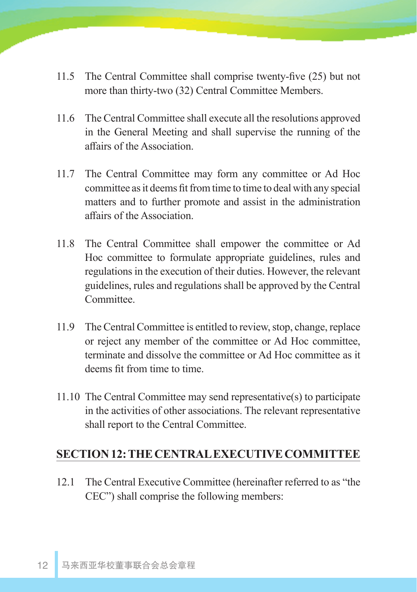- 11.5 The Central Committee shall comprise twenty-five (25) but not more than thirty-two (32) Central Committee Members.
- 11.6 The Central Committee shall execute all the resolutions approved in the General Meeting and shall supervise the running of the affairs of the Association.
- 11.7 The Central Committee may form any committee or Ad Hoc committee as it deems fit from time to time to deal with any special matters and to further promote and assist in the administration affairs of the Association.
- 11.8 The Central Committee shall empower the committee or Ad Hoc committee to formulate appropriate guidelines, rules and regulations in the execution of their duties. However, the relevant guidelines, rules and regulations shall be approved by the Central Committee.
- 11.9 The Central Committee is entitled to review, stop, change, replace or reject any member of the committee or Ad Hoc committee, terminate and dissolve the committee or Ad Hoc committee as it deems fit from time to time.
- 11.10 The Central Committee may send representative(s) to participate in the activities of other associations. The relevant representative shall report to the Central Committee.

#### **SECTION 12: THE CENTRAL EXECUTIVE COMMITTEE**

12.1 The Central Executive Committee (hereinafter referred to as "the CEC") shall comprise the following members: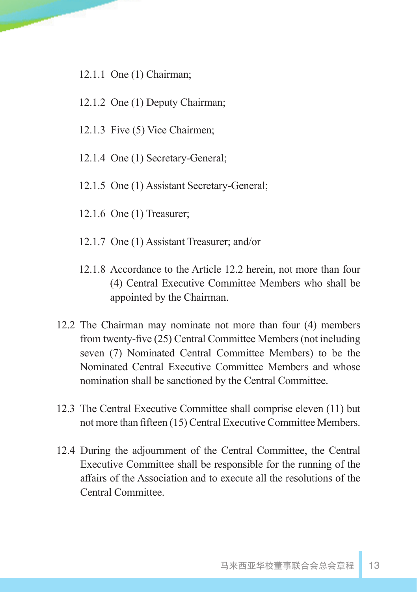- 12.1.1 One (1) Chairman;
- 12.1.2 One (1) Deputy Chairman;
- 12.1.3 Five (5) Vice Chairmen;
- 12.1.4 One (1) Secretary-General;
- 12.1.5 One (1) Assistant Secretary-General;
- 12.1.6 One (1) Treasurer;
- 12.1.7 One (1) Assistant Treasurer; and/or
- 12.1.8 Accordance to the Article 12.2 herein, not more than four (4) Central Executive Committee Members who shall be appointed by the Chairman.
- 12.2 The Chairman may nominate not more than four (4) members from twenty-five (25) Central Committee Members (not including seven (7) Nominated Central Committee Members) to be the Nominated Central Executive Committee Members and whose nomination shall be sanctioned by the Central Committee.
- 12.3 The Central Executive Committee shall comprise eleven (11) but not more than fifteen (15) Central Executive Committee Members.
- 12.4 During the adjournment of the Central Committee, the Central Executive Committee shall be responsible for the running of the affairs of the Association and to execute all the resolutions of the Central Committee.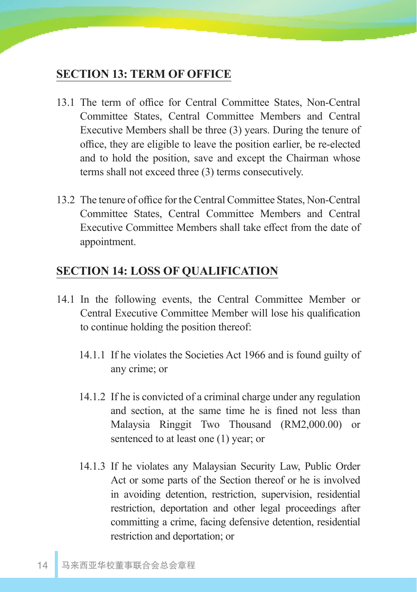#### **SECTION 13: TERM OF OFFICE**

- 13.1 The term of office for Central Committee States, Non-Central Committee States, Central Committee Members and Central Executive Members shall be three (3) years. During the tenure of office, they are eligible to leave the position earlier, be re-elected and to hold the position, save and except the Chairman whose terms shall not exceed three (3) terms consecutively.
- 13.2 The tenure of office for the Central Committee States, Non-Central Committee States, Central Committee Members and Central Executive Committee Members shall take effect from the date of appointment.

#### **SECTION 14: LOSS OF QUALIFICATION**

- 14.1 In the following events, the Central Committee Member or Central Executive Committee Member will lose his qualification to continue holding the position thereof:
	- 14.1.1 If he violates the Societies Act 1966 and is found guilty of any crime; or
	- 14.1.2 If he is convicted of a criminal charge under any regulation and section, at the same time he is fined not less than Malaysia Ringgit Two Thousand (RM2,000.00) or sentenced to at least one (1) year; or
	- 14.1.3 If he violates any Malaysian Security Law, Public Order Act or some parts of the Section thereof or he is involved in avoiding detention, restriction, supervision, residential restriction, deportation and other legal proceedings after committing a crime, facing defensive detention, residential restriction and deportation; or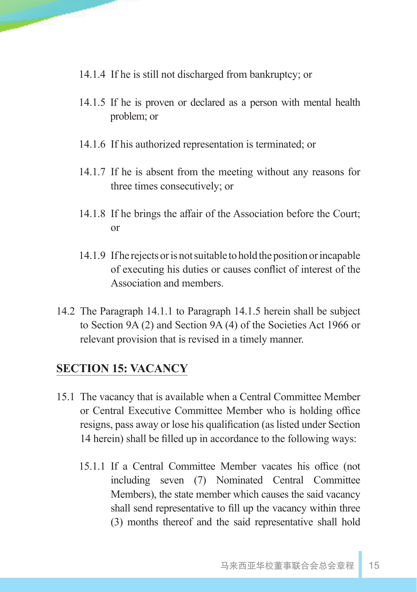- 14.1.4 If he is still not discharged from bankruptcy; or
- 14.1.5 If he is proven or declared as a person with mental health problem; or
- 14.1.6 If his authorized representation is terminated; or
- 14.1.7 If he is absent from the meeting without any reasons for three times consecutively; or
- 14.1.8 If he brings the affair of the Association before the Court; or
- 14.1.9 If he rejects or is not suitable to hold the position or incapable of executing his duties or causes conflict of interest of the Association and members.
- 14.2 The Paragraph 14.1.1 to Paragraph 14.1.5 herein shall be subject to Section 9A (2) and Section 9A (4) of the Societies Act 1966 or relevant provision that is revised in a timely manner.

#### **SECTION 15: VACANCY**

- 15.1 The vacancy that is available when a Central Committee Member or Central Executive Committee Member who is holding office resigns, pass away or lose his qualification (as listed under Section 14 herein) shall be filled up in accordance to the following ways:
	- 15.1.1 If a Central Committee Member vacates his office (not including seven (7) Nominated Central Committee Members), the state member which causes the said vacancy shall send representative to fill up the vacancy within three (3) months thereof and the said representative shall hold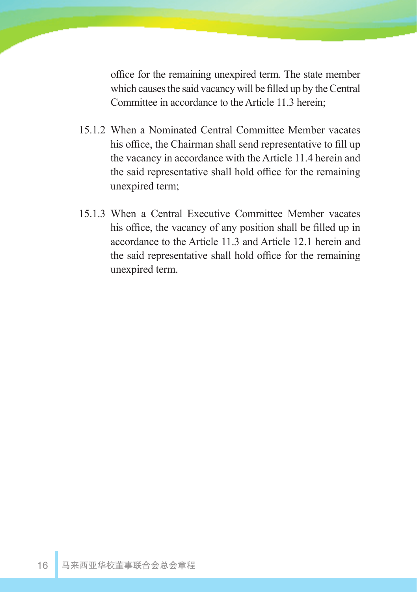office for the remaining unexpired term. The state member which causes the said vacancy will be filled up by the Central Committee in accordance to the Article 11.3 herein;

- 15.1.2 When a Nominated Central Committee Member vacates his office, the Chairman shall send representative to fill up the vacancy in accordance with the Article 11.4 herein and the said representative shall hold office for the remaining unexpired term;
- 15.1.3 When a Central Executive Committee Member vacates his office, the vacancy of any position shall be filled up in accordance to the Article 11.3 and Article 12.1 herein and the said representative shall hold office for the remaining unexpired term.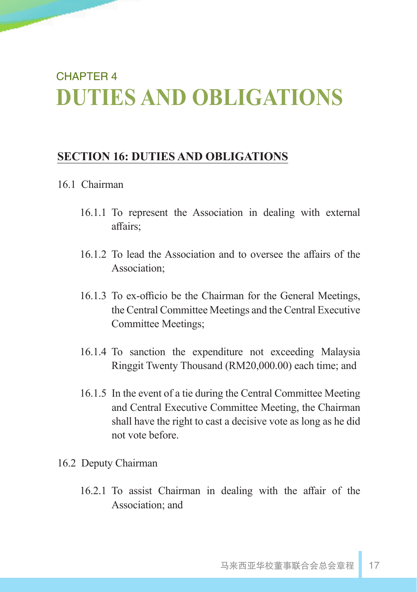# CHAPTER 4 **DUTIES AND OBLIGATIONS**

#### **SECTION 16: DUTIES AND OBLIGATIONS**

#### 16.1 Chairman

- 16.1.1 To represent the Association in dealing with external affairs;
- 16.1.2 To lead the Association and to oversee the affairs of the Association;
- 16.1.3 To ex-officio be the Chairman for the General Meetings, the Central Committee Meetings and the Central Executive Committee Meetings;
- 16.1.4 To sanction the expenditure not exceeding Malaysia Ringgit Twenty Thousand (RM20,000.00) each time; and
- 16.1.5 In the event of a tie during the Central Committee Meeting and Central Executive Committee Meeting, the Chairman shall have the right to cast a decisive vote as long as he did not vote before.
- 16.2 Deputy Chairman
	- 16.2.1 To assist Chairman in dealing with the affair of the Association; and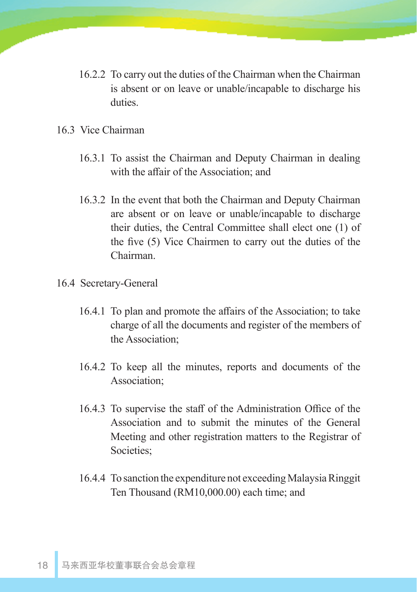- 16.2.2 To carry out the duties of the Chairman when the Chairman is absent or on leave or unable/incapable to discharge his duties.
- 16.3 Vice Chairman
	- 16.3.1 To assist the Chairman and Deputy Chairman in dealing with the affair of the Association; and
	- 16.3.2 In the event that both the Chairman and Deputy Chairman are absent or on leave or unable/incapable to discharge their duties, the Central Committee shall elect one (1) of the five (5) Vice Chairmen to carry out the duties of the Chairman.
- 16.4 Secretary-General
	- 16.4.1 To plan and promote the affairs of the Association; to take charge of all the documents and register of the members of the Association;
	- 16.4.2 To keep all the minutes, reports and documents of the Association;
	- 16.4.3 To supervise the staff of the Administration Office of the Association and to submit the minutes of the General Meeting and other registration matters to the Registrar of Societies;
	- 16.4.4 To sanction the expenditure not exceeding Malaysia Ringgit Ten Thousand (RM10,000.00) each time; and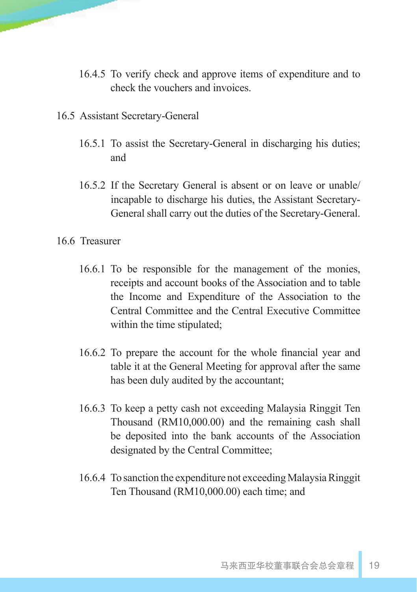- 16.4.5 To verify check and approve items of expenditure and to check the vouchers and invoices.
- 16.5 Assistant Secretary-General
	- 16.5.1 To assist the Secretary-General in discharging his duties; and
	- 16.5.2 If the Secretary General is absent or on leave or unable/ incapable to discharge his duties, the Assistant Secretary-General shall carry out the duties of the Secretary-General.
- 16.6 Treasurer
	- 16.6.1 To be responsible for the management of the monies, receipts and account books of the Association and to table the Income and Expenditure of the Association to the Central Committee and the Central Executive Committee within the time stipulated;
	- 16.6.2 To prepare the account for the whole financial year and table it at the General Meeting for approval after the same has been duly audited by the accountant;
	- 16.6.3 To keep a petty cash not exceeding Malaysia Ringgit Ten Thousand (RM10,000.00) and the remaining cash shall be deposited into the bank accounts of the Association designated by the Central Committee;
	- 16.6.4 To sanction the expenditure not exceeding Malaysia Ringgit Ten Thousand (RM10,000.00) each time; and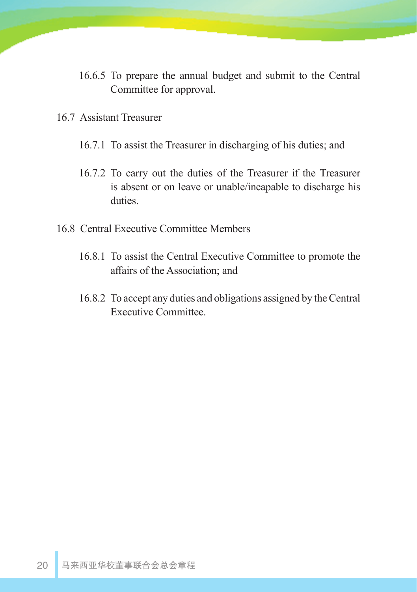- 16.6.5 To prepare the annual budget and submit to the Central Committee for approval.
- 16.7 Assistant Treasurer
	- 16.7.1 To assist the Treasurer in discharging of his duties; and
	- 16.7.2 To carry out the duties of the Treasurer if the Treasurer is absent or on leave or unable/incapable to discharge his duties.
- 16.8 Central Executive Committee Members
	- 16.8.1 To assist the Central Executive Committee to promote the affairs of the Association; and
	- 16.8.2 To accept any duties and obligations assigned by the Central Executive Committee.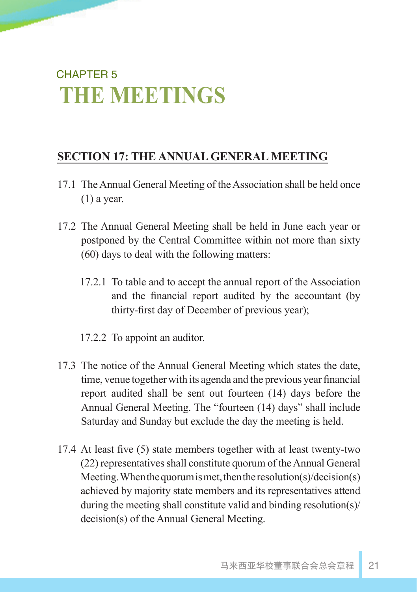# CHAPTER 5 **THE MEETINGS**

## **SECTION 17: THE ANNUAL GENERAL MEETING**

- 17.1 The Annual General Meeting of the Association shall be held once  $(1)$  a year.
- 17.2 The Annual General Meeting shall be held in June each year or postponed by the Central Committee within not more than sixty (60) days to deal with the following matters:
	- 17.2.1 To table and to accept the annual report of the Association and the financial report audited by the accountant (by thirty-first day of December of previous year);
	- 17.2.2 To appoint an auditor.
- 17.3 The notice of the Annual General Meeting which states the date, time, venue together with its agenda and the previous year financial report audited shall be sent out fourteen (14) days before the Annual General Meeting. The "fourteen (14) days" shall include Saturday and Sunday but exclude the day the meeting is held.
- 17.4 At least five (5) state members together with at least twenty-two (22) representatives shall constitute quorum of the Annual General Meeting. When the quorum is met, then the resolution(s)/decision(s) achieved by majority state members and its representatives attend during the meeting shall constitute valid and binding resolution(s)/ decision(s) of the Annual General Meeting.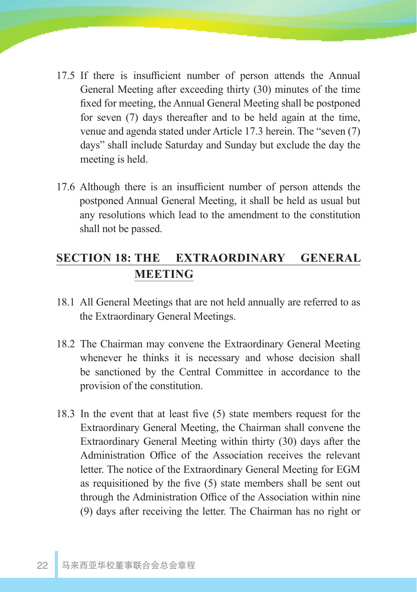- 17.5 If there is insufficient number of person attends the Annual General Meeting after exceeding thirty (30) minutes of the time fixed for meeting, the Annual General Meeting shall be postponed for seven (7) days thereafter and to be held again at the time, venue and agenda stated under Article 17.3 herein. The "seven (7) days" shall include Saturday and Sunday but exclude the day the meeting is held.
- 17.6 Although there is an insufficient number of person attends the postponed Annual General Meeting, it shall be held as usual but any resolutions which lead to the amendment to the constitution shall not be passed.

## **SECTION 18: THE EXTRAORDINARY GENERAL MEETING**

- 18.1 All General Meetings that are not held annually are referred to as the Extraordinary General Meetings.
- 18.2 The Chairman may convene the Extraordinary General Meeting whenever he thinks it is necessary and whose decision shall be sanctioned by the Central Committee in accordance to the provision of the constitution.
- 18.3 In the event that at least five (5) state members request for the Extraordinary General Meeting, the Chairman shall convene the Extraordinary General Meeting within thirty (30) days after the Administration Office of the Association receives the relevant letter. The notice of the Extraordinary General Meeting for EGM as requisitioned by the five (5) state members shall be sent out through the Administration Office of the Association within nine (9) days after receiving the letter. The Chairman has no right or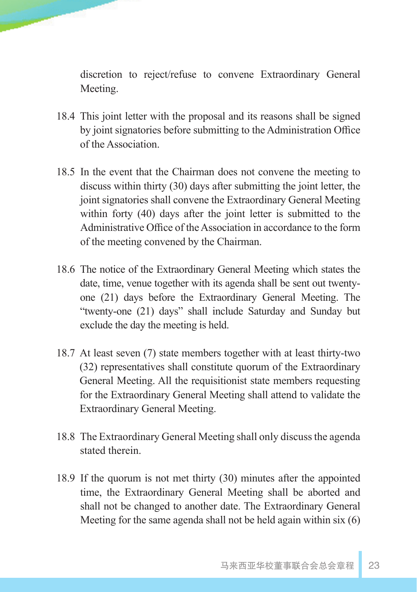discretion to reject/refuse to convene Extraordinary General Meeting.

- 18.4 This joint letter with the proposal and its reasons shall be signed by joint signatories before submitting to the Administration Office of the Association.
- 18.5 In the event that the Chairman does not convene the meeting to discuss within thirty (30) days after submitting the joint letter, the joint signatories shall convene the Extraordinary General Meeting within forty (40) days after the joint letter is submitted to the Administrative Office of the Association in accordance to the form of the meeting convened by the Chairman.
- 18.6 The notice of the Extraordinary General Meeting which states the date, time, venue together with its agenda shall be sent out twentyone (21) days before the Extraordinary General Meeting. The "twenty-one (21) days" shall include Saturday and Sunday but exclude the day the meeting is held.
- 18.7 At least seven (7) state members together with at least thirty-two (32) representatives shall constitute quorum of the Extraordinary General Meeting. All the requisitionist state members requesting for the Extraordinary General Meeting shall attend to validate the Extraordinary General Meeting.
- 18.8 The Extraordinary General Meeting shall only discuss the agenda stated therein.
- 18.9 If the quorum is not met thirty (30) minutes after the appointed time, the Extraordinary General Meeting shall be aborted and shall not be changed to another date. The Extraordinary General Meeting for the same agenda shall not be held again within six (6)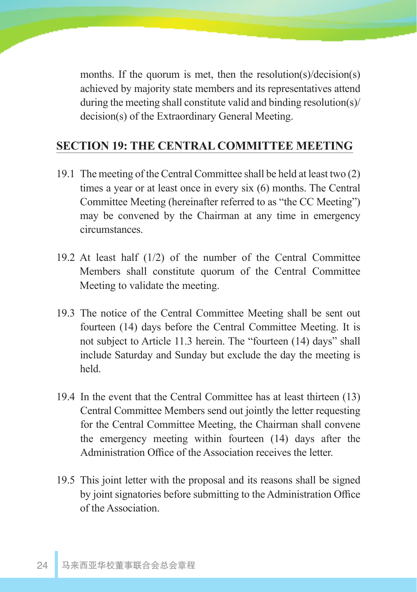months. If the quorum is met, then the resolution(s)/decision(s) achieved by majority state members and its representatives attend during the meeting shall constitute valid and binding resolution(s)/ decision(s) of the Extraordinary General Meeting.

#### **SECTION 19: THE CENTRAL COMMITTEE MEETING**

- 19.1 The meeting of the Central Committee shall be held at least two (2) times a year or at least once in every six (6) months. The Central Committee Meeting (hereinafter referred to as "the CC Meeting") may be convened by the Chairman at any time in emergency circumstances.
- 19.2 At least half (1/2) of the number of the Central Committee Members shall constitute quorum of the Central Committee Meeting to validate the meeting.
- 19.3 The notice of the Central Committee Meeting shall be sent out fourteen (14) days before the Central Committee Meeting. It is not subject to Article 11.3 herein. The "fourteen (14) days" shall include Saturday and Sunday but exclude the day the meeting is held.
- 19.4 In the event that the Central Committee has at least thirteen (13) Central Committee Members send out jointly the letter requesting for the Central Committee Meeting, the Chairman shall convene the emergency meeting within fourteen (14) days after the Administration Office of the Association receives the letter.
- 19.5 This joint letter with the proposal and its reasons shall be signed by joint signatories before submitting to the Administration Office of the Association.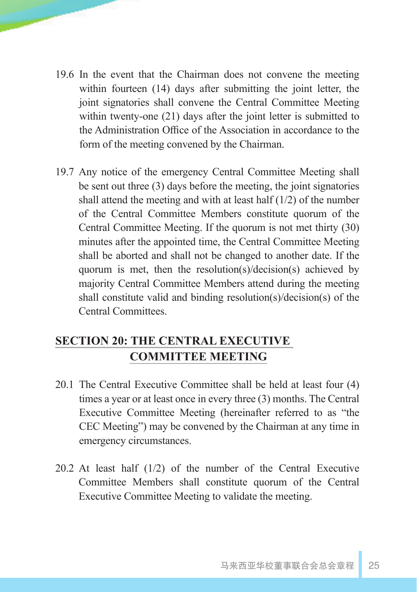- 19.6 In the event that the Chairman does not convene the meeting within fourteen (14) days after submitting the joint letter, the joint signatories shall convene the Central Committee Meeting within twenty-one (21) days after the joint letter is submitted to the Administration Office of the Association in accordance to the form of the meeting convened by the Chairman.
- 19.7 Any notice of the emergency Central Committee Meeting shall be sent out three (3) days before the meeting, the joint signatories shall attend the meeting and with at least half  $(1/2)$  of the number of the Central Committee Members constitute quorum of the Central Committee Meeting. If the quorum is not met thirty (30) minutes after the appointed time, the Central Committee Meeting shall be aborted and shall not be changed to another date. If the quorum is met, then the resolution(s)/decision(s) achieved by majority Central Committee Members attend during the meeting shall constitute valid and binding resolution(s)/decision(s) of the Central Committees.

## **SECTION 20: THE CENTRAL EXECUTIVE COMMITTEE MEETING**

- 20.1 The Central Executive Committee shall be held at least four (4) times a year or at least once in every three (3) months. The Central Executive Committee Meeting (hereinafter referred to as "the CEC Meeting") may be convened by the Chairman at any time in emergency circumstances.
- 20.2 At least half (1/2) of the number of the Central Executive Committee Members shall constitute quorum of the Central Executive Committee Meeting to validate the meeting.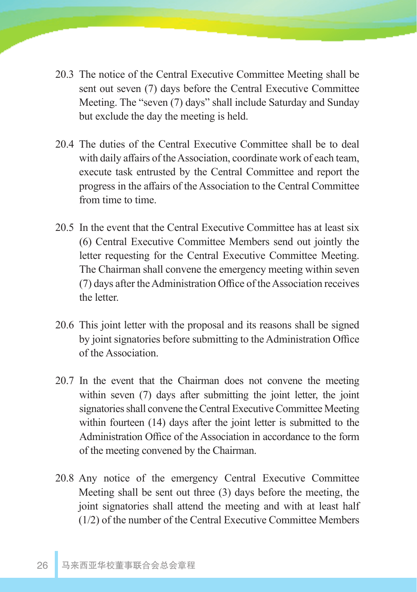- 20.3 The notice of the Central Executive Committee Meeting shall be sent out seven (7) days before the Central Executive Committee Meeting. The "seven (7) days" shall include Saturday and Sunday but exclude the day the meeting is held.
- 20.4 The duties of the Central Executive Committee shall be to deal with daily affairs of the Association, coordinate work of each team, execute task entrusted by the Central Committee and report the progress in the affairs of the Association to the Central Committee from time to time.
- 20.5 In the event that the Central Executive Committee has at least six (6) Central Executive Committee Members send out jointly the letter requesting for the Central Executive Committee Meeting. The Chairman shall convene the emergency meeting within seven (7) days after the Administration Office of the Association receives the letter.
- 20.6 This joint letter with the proposal and its reasons shall be signed by joint signatories before submitting to the Administration Office of the Association.
- 20.7 In the event that the Chairman does not convene the meeting within seven (7) days after submitting the joint letter, the joint signatories shall convene the Central Executive Committee Meeting within fourteen (14) days after the joint letter is submitted to the Administration Office of the Association in accordance to the form of the meeting convened by the Chairman.
- 20.8 Any notice of the emergency Central Executive Committee Meeting shall be sent out three (3) days before the meeting, the joint signatories shall attend the meeting and with at least half (1/2) of the number of the Central Executive Committee Members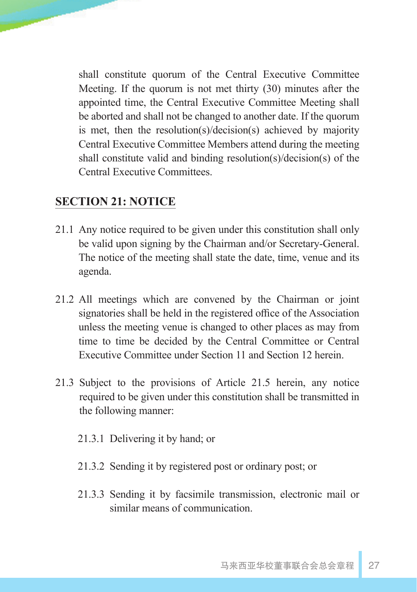shall constitute quorum of the Central Executive Committee Meeting. If the quorum is not met thirty (30) minutes after the appointed time, the Central Executive Committee Meeting shall be aborted and shall not be changed to another date. If the quorum is met, then the resolution(s)/decision(s) achieved by majority Central Executive Committee Members attend during the meeting shall constitute valid and binding resolution(s)/decision(s) of the Central Executive Committees.

## **SECTION 21: NOTICE**

- 21.1 Any notice required to be given under this constitution shall only be valid upon signing by the Chairman and/or Secretary-General. The notice of the meeting shall state the date, time, venue and its agenda.
- 21.2 All meetings which are convened by the Chairman or joint signatories shall be held in the registered office of the Association unless the meeting venue is changed to other places as may from time to time be decided by the Central Committee or Central Executive Committee under Section 11 and Section 12 herein.
- 21.3 Subject to the provisions of Article 21.5 herein, any notice required to be given under this constitution shall be transmitted in the following manner:
	- 21.3.1 Delivering it by hand; or
	- 21.3.2 Sending it by registered post or ordinary post; or
	- 21.3.3 Sending it by facsimile transmission, electronic mail or similar means of communication.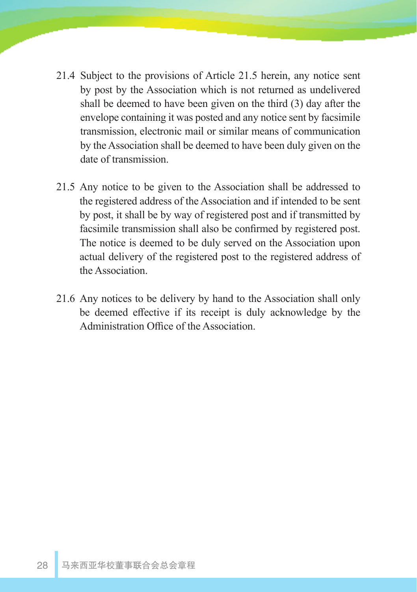- 21.4 Subject to the provisions of Article 21.5 herein, any notice sent by post by the Association which is not returned as undelivered shall be deemed to have been given on the third (3) day after the envelope containing it was posted and any notice sent by facsimile transmission, electronic mail or similar means of communication by the Association shall be deemed to have been duly given on the date of transmission.
- 21.5 Any notice to be given to the Association shall be addressed to the registered address of the Association and if intended to be sent by post, it shall be by way of registered post and if transmitted by facsimile transmission shall also be confirmed by registered post. The notice is deemed to be duly served on the Association upon actual delivery of the registered post to the registered address of the Association.
- 21.6 Any notices to be delivery by hand to the Association shall only be deemed effective if its receipt is duly acknowledge by the Administration Office of the Association.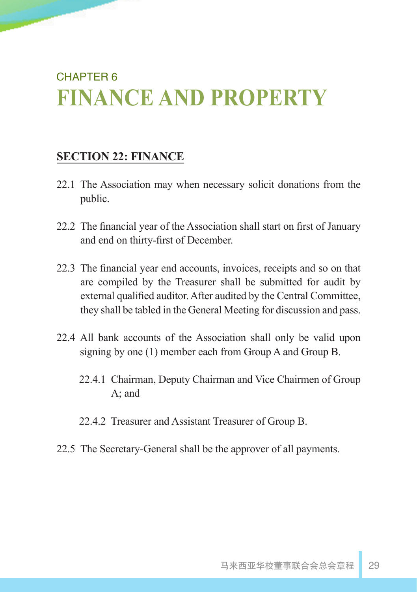# CHAPTER 6 **FINANCE AND PROPERTY**

## **SECTION 22: FINANCE**

- 22.1 The Association may when necessary solicit donations from the public.
- 22.2 The financial year of the Association shall start on first of January and end on thirty-first of December.
- 22.3 The financial year end accounts, invoices, receipts and so on that are compiled by the Treasurer shall be submitted for audit by external qualified auditor. After audited by the Central Committee, they shall be tabled in the General Meeting for discussion and pass.
- 22.4 All bank accounts of the Association shall only be valid upon signing by one (1) member each from Group A and Group B.
	- 22.4.1 Chairman, Deputy Chairman and Vice Chairmen of Group A; and
	- 22.4.2 Treasurer and Assistant Treasurer of Group B.
- 22.5 The Secretary-General shall be the approver of all payments.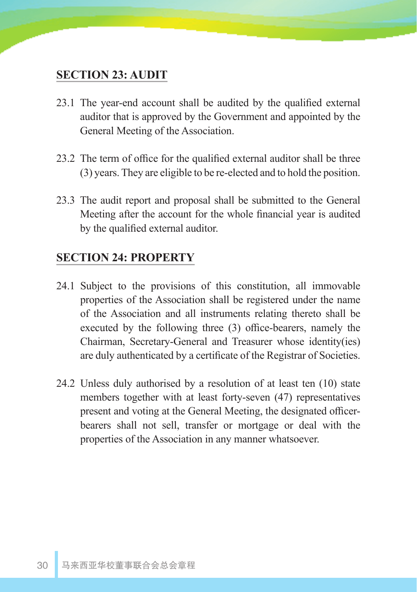#### **SECTION 23: AUDIT**

- 23.1 The year-end account shall be audited by the qualified external auditor that is approved by the Government and appointed by the General Meeting of the Association.
- 23.2 The term of office for the qualified external auditor shall be three (3) years. They are eligible to be re-elected and to hold the position.
- 23.3 The audit report and proposal shall be submitted to the General Meeting after the account for the whole financial year is audited by the qualified external auditor.

#### **SECTION 24: PROPERTY**

- 24.1 Subject to the provisions of this constitution, all immovable properties of the Association shall be registered under the name of the Association and all instruments relating thereto shall be executed by the following three (3) office-bearers, namely the Chairman, Secretary-General and Treasurer whose identity(ies) are duly authenticated by a certificate of the Registrar of Societies.
- 24.2 Unless duly authorised by a resolution of at least ten (10) state members together with at least forty-seven (47) representatives present and voting at the General Meeting, the designated officerbearers shall not sell, transfer or mortgage or deal with the properties of the Association in any manner whatsoever.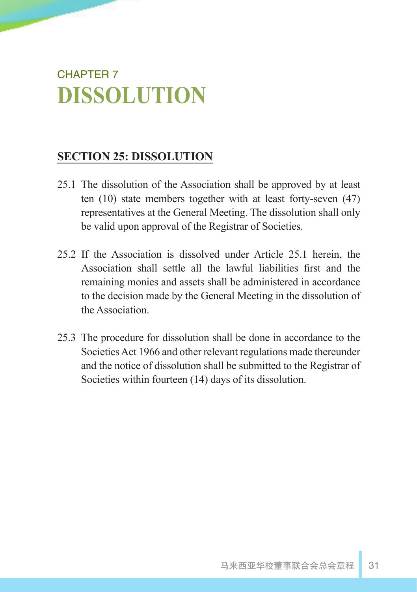# CHAPTER 7 **DISSOLUTION**

## **SECTION 25: DISSOLUTION**

- 25.1 The dissolution of the Association shall be approved by at least ten (10) state members together with at least forty-seven (47) representatives at the General Meeting. The dissolution shall only be valid upon approval of the Registrar of Societies.
- 25.2 If the Association is dissolved under Article 25.1 herein, the Association shall settle all the lawful liabilities first and the remaining monies and assets shall be administered in accordance to the decision made by the General Meeting in the dissolution of the Association.
- 25.3 The procedure for dissolution shall be done in accordance to the Societies Act 1966 and other relevant regulations made thereunder and the notice of dissolution shall be submitted to the Registrar of Societies within fourteen (14) days of its dissolution.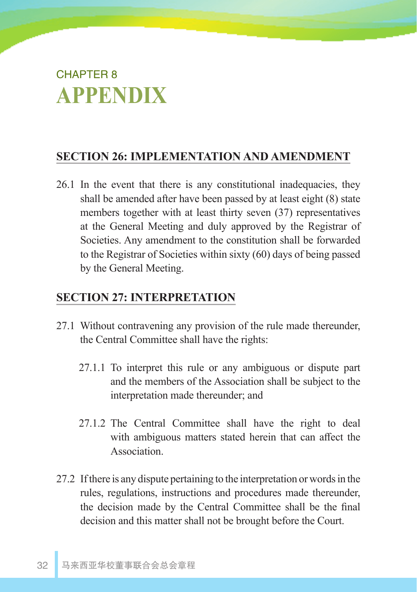# CHAPTER 8 **APPENDIX**

## **SECTION 26: IMPLEMENTATION AND AMENDMENT**

26.1 In the event that there is any constitutional inadequacies, they shall be amended after have been passed by at least eight (8) state members together with at least thirty seven (37) representatives at the General Meeting and duly approved by the Registrar of Societies. Any amendment to the constitution shall be forwarded to the Registrar of Societies within sixty (60) days of being passed by the General Meeting.

#### **SECTION 27: INTERPRETATION**

- 27.1 Without contravening any provision of the rule made thereunder, the Central Committee shall have the rights:
	- 27.1.1 To interpret this rule or any ambiguous or dispute part and the members of the Association shall be subject to the interpretation made thereunder; and
	- 27.1.2 The Central Committee shall have the right to deal with ambiguous matters stated herein that can affect the Association.
- 27.2 If there is any dispute pertaining to the interpretation or words in the rules, regulations, instructions and procedures made thereunder, the decision made by the Central Committee shall be the final decision and this matter shall not be brought before the Court.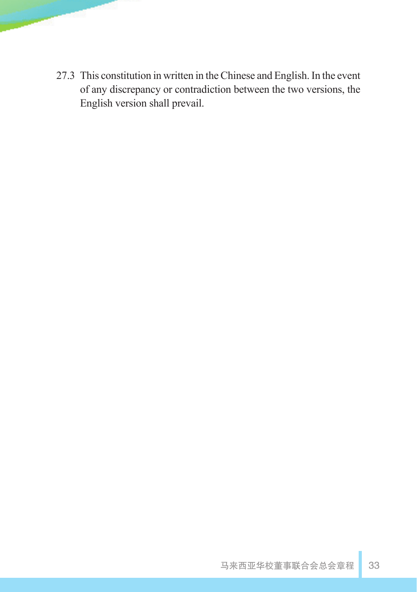27.3 This constitution in written in the Chinese and English. In the event of any discrepancy or contradiction between the two versions, the English version shall prevail.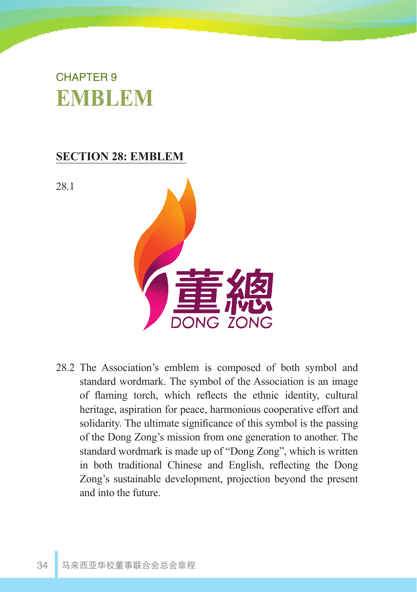# CHAPTER 9 **EMBLEM**

## **SECTION 28: EMBLEM**

28.1



28.2 The Association's emblem is composed of both symbol and standard wordmark. The symbol of the Association is an image of flaming torch, which reflects the ethnic identity, cultural heritage, aspiration for peace, harmonious cooperative effort and solidarity. The ultimate significance of this symbol is the passing of the Dong Zong's mission from one generation to another. The standard wordmark is made up of "Dong Zong", which is written in both traditional Chinese and English, reflecting the Dong Zong's sustainable development, projection beyond the present and into the future.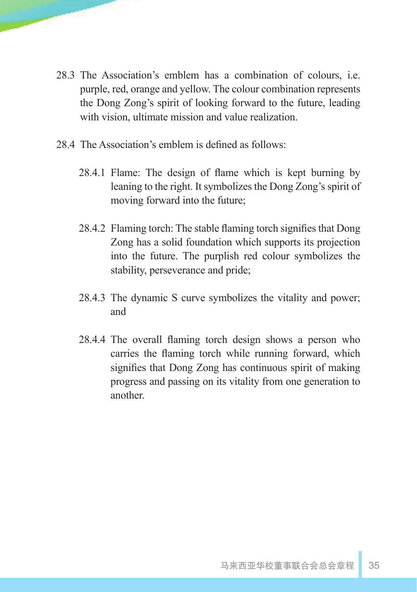- 28.3 The Association's emblem has a combination of colours, i.e. purple, red, orange and yellow. The colour combination represents the Dong Zong's spirit of looking forward to the future, leading with vision, ultimate mission and value realization.
- 28.4 The Association's emblem is defined as follows:
	- 28.4.1 Flame: The design of flame which is kept burning by leaning to the right. It symbolizes the Dong Zong's spirit of moving forward into the future;
	- 28.4.2 Flaming torch: The stable flaming torch signifies that Dong Zong has a solid foundation which supports its projection into the future. The purplish red colour symbolizes the stability, perseverance and pride;
	- 28.4.3 The dynamic S curve symbolizes the vitality and power; and
	- 28.4.4 The overall flaming torch design shows a person who carries the flaming torch while running forward, which signifies that Dong Zong has continuous spirit of making progress and passing on its vitality from one generation to another.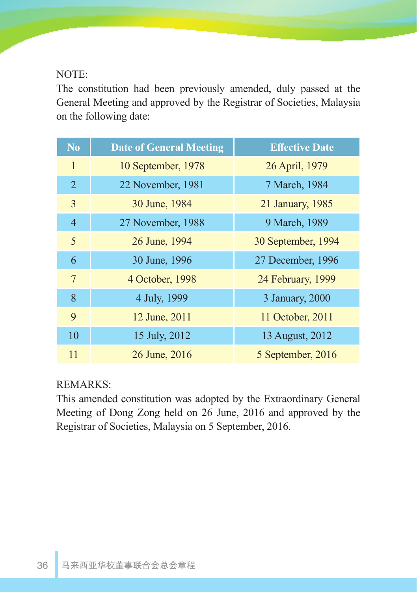#### NOTE:

The constitution had been previously amended, duly passed at the General Meeting and approved by the Registrar of Societies, Malaysia on the following date:

| N <sub>0</sub> | <b>Date of General Meeting</b> | <b>Effective Date</b> |
|----------------|--------------------------------|-----------------------|
| $\mathbf{1}$   | 10 September, 1978             | 26 April, 1979        |
| 2              | 22 November, 1981              | 7 March, 1984         |
| $\overline{3}$ | 30 June, 1984                  | 21 January, 1985      |
| $\overline{4}$ | 27 November, 1988              | 9 March, 1989         |
| 5              | 26 June, 1994                  | 30 September, 1994    |
| 6              | 30 June, 1996                  | 27 December, 1996     |
| 7              | 4 October, 1998                | 24 February, 1999     |
| 8              | 4 July, 1999                   | 3 January, 2000       |
| 9              | 12 June, 2011                  | 11 October, 2011      |
| 10             | 15 July, 2012                  | 13 August, 2012       |
| 11             | 26 June, 2016                  | 5 September, 2016     |

#### REMARKS:

This amended constitution was adopted by the Extraordinary General Meeting of Dong Zong held on 26 June, 2016 and approved by the Registrar of Societies, Malaysia on 5 September, 2016.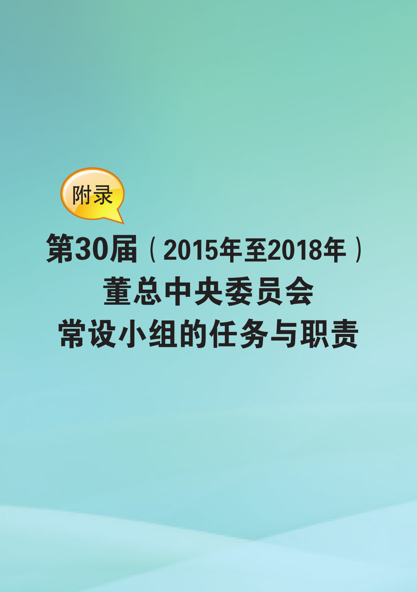

# 第30届(2015年至2018年) 董总中央委员会 常设小组的任务与职责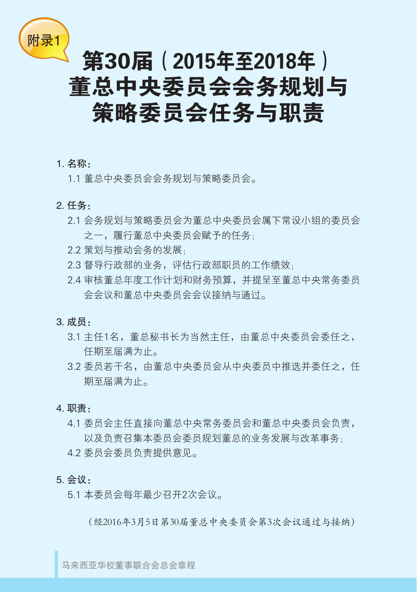

# 第30届(2015年至2018年) 董总中央委员会会务规划与 策略委员会任务与职责

#### 1. 名称:

1.1 董总中央委员会会务规划与策略委员会。

#### 2. 任务:

- 2.1 会务规划与策略委员会为董总中央委员会属下常设小组的委员会 之一,履行董总中央委员会赋予的任务;
- 2.2 策划与推动会务的发展;
- 2.3 督导行政部的业务,评估行政部职员的工作绩效;
- 2.4 审核董总年度工作计划和财务预算,并提呈至董总中央常务委员 会会议和董总中央委员会会议接纳与通过。

#### 3. 成员:

- 3.1 主任1名,董总秘书长为当然主任,由董总中央委员会委任之, 任期至届满为止。
- 3.2 委员若干名, 由董总中央委员会从中央委员中推选并委任之, 任 期至届满为止。

#### 4. 职责:

4.1 委员会主任直接向董总中央常务委员会和董总中央委员会负责, 以及负责召集本委员会委员规划董总的业务发展与改革事务; 4.2 委员会委员负责提供意见。

#### 5. 会议:

5.1 本委员会每年最少召开2次会议。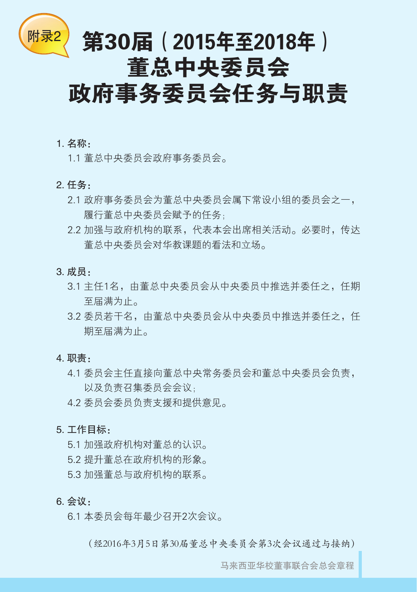

# <sup>附录2</sup> 第30届(2015年至2018年) 董总中央委员会

# 政府事务委员会任务与职责

#### 1. 名称:

1.1 董总中央委员会政府事务委员会。

- 2. 任务:
	- 2.1 政府事务委员会为董总中央委员会属下常设小组的委员会之一, 履行董总中央委员会赋予的任务;
	- 2.2 加强与政府机构的联系,代表本会出席相关活动。必要时,传达 董总中央委员会对华教课题的看法和立场。
- 3. 成员:
	- 3.1 主任1名,由董总中央委员会从中央委员中推选并委任之,任期 至届满为止。
	- 3.2 委员若干名,由董总中央委员会从中央委员中推选并委任之,任 期至届满为止。

#### 4. 职责:

- 4.1 委员会主任直接向董总中央常务委员会和董总中央委员会负责, 以及负责召集委员会会议;
- 4.2 委员会委员负责支援和提供意见。

#### 5. 工作目标:

5.1 加强政府机构对董总的认识。

- 5.2 提升董总在政府机构的形象。
- 5.3 加强董总与政府机构的联系。

#### 6. 会议:

6.1 本委员会每年最少召开2次会议。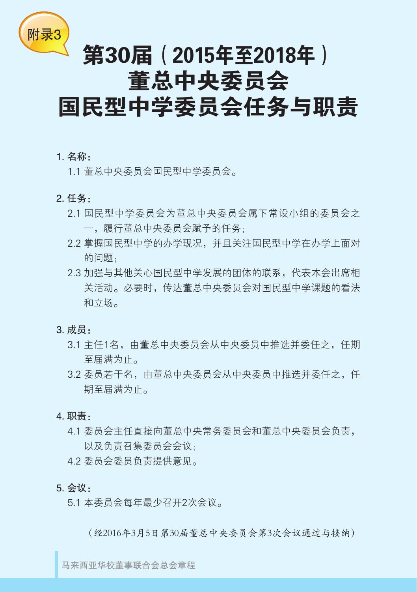

# 第30届(2015年至2018年) 董总中央委员会 国民型中学委员会任务与职责

1. 名称:

1.1 董总中央委员会国民型中学委员会。

- 2. 任务:
	- 2.1 国民型中学委员会为董总中央委员会属下常设小组的委员会之 一,履行董总中央委员会赋予的任务;
	- 2.2 掌握国民型中学的办学现况,并且关注国民型中学在办学上面对 的问题;
	- 2.3 加强与其他关心国民型中学发展的团体的联系,代表本会出席相 关活动。必要时,传达董总中央委员会对国民型中学课题的看法 和立场。
- 3. 成员:
	- 3.1 主任1名,由董总中央委员会从中央委员中推选并委任之,任期 至届满为止。
	- 3.2 委员若干名, 由董总中央委员会从中央委员中推选并委任之, 任 期至届满为止。
- 4. 职责:
	- 4.1 委员会主任直接向董总中央常务委员会和董总中央委员会负责, 以及负责召集委员会会议;
	- 4.2 委员会委员负责提供意见。
- 5. 会议:
	- 5.1 本委员会每年最少召开2次会议。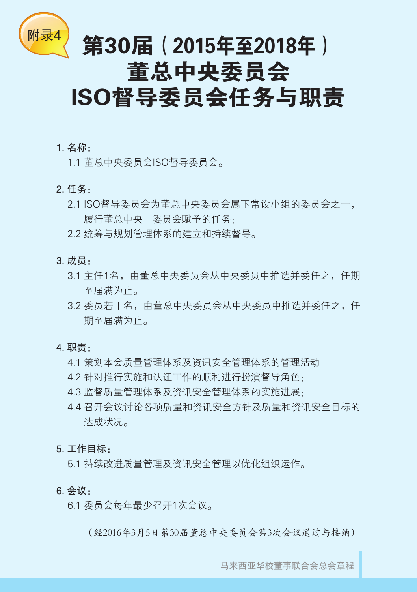

# $\frac{100 \times 4}{100 \times 4}$ 第30届(2015年至2018年) 董总中央委员会 ISO督导委员会任务与职责

#### 1. 名称:

1.1 董总中央委员会ISO督导委员会。

- 2. 任务:
	- 2.1 ISO督导委员会为董总中央委员会属下常设小组的委员会之一, 履行董总中央 委员会赋予的任务;
	- 2.2 统筹与规划管理体系的建立和持续督导。
- 3. 成员:
	- 3.1 主任1名,由董总中央委员会从中央委员中推选并委任之,任期 至届满为止。
	- 3.2 委员若干名, 由董总中央委员会从中央委员中推选并委任之, 任 期至届满为止。

#### 4. 职责:

- 4.1 策划本会质量管理体系及资讯安全管理体系的管理活动;
- 4.2 针对推行实施和认证工作的顺利进行扮演督导角色;
- 4.3 监督质量管理体系及资讯安全管理体系的实施进展;
- 4.4 召开会议讨论各项质量和资讯安全方针及质量和资讯安全目标的 达成状况。

#### 5. 工作目标:

5.1 持续改进质量管理及资讯安全管理以优化组织运作。

#### 6. 会议:

6.1 委员会每年最少召开1次会议。